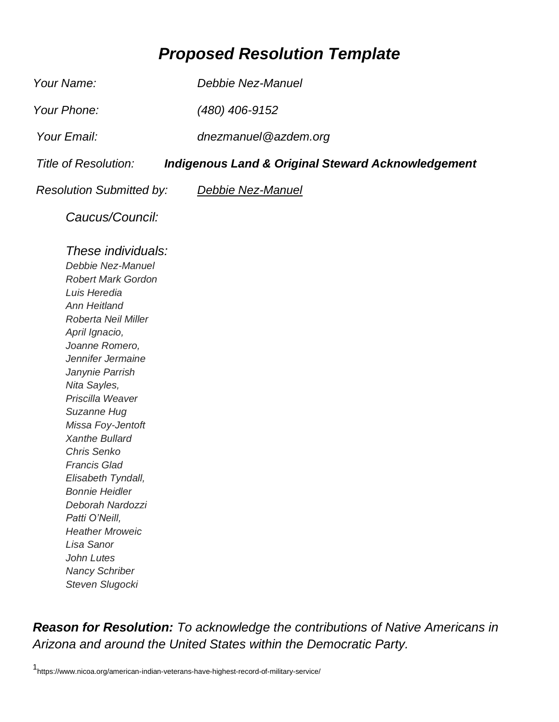## *Proposed Resolution Template*

*Your Name: Debbie Nez-Manuel Your Phone: (480) 406-9152 Your Email: dnezmanuel@azdem.org Title of Resolution: Indigenous Land & Original Steward Acknowledgement Resolution Submitted by: Debbie Nez-Manuel* 

*Caucus/Council:*

## *These individuals:*

*Debbie Nez-Manuel Robert Mark Gordon Luis Heredia Ann Heitland Roberta Neil Miller April Ignacio, Joanne Romero, Jennifer Jermaine Janynie Parrish Nita Sayles, Priscilla Weaver Suzanne Hug Missa Foy-Jentoft Xanthe Bullard Chris Senko Francis Glad Elisabeth Tyndall, Bonnie Heidler Deborah Nardozzi Patti O'Neill, Heather Mroweic Lisa Sanor John Lutes Nancy Schriber Steven Slugocki* 

*Reason for Resolution: To acknowledge the contributions of Native Americans in Arizona and around the United States within the Democratic Party.*